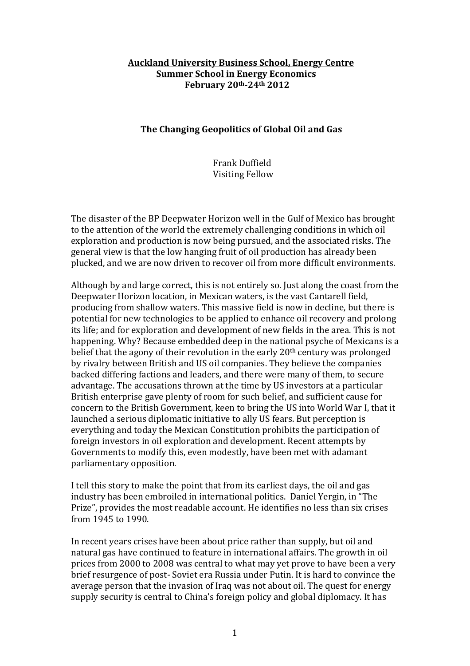## **Auckland University Business School, Energy Centre Summer School in Energy Economics February 20th-24th 2012**

## **The Changing Geopolitics of Global Oil and Gas**

Frank Duffield Visiting Fellow

The disaster of the BP Deepwater Horizon well in the Gulf of Mexico has brought to the attention of the world the extremely challenging conditions in which oil exploration and production is now being pursued, and the associated risks. The general view is that the low hanging fruit of oil production has already been plucked, and we are now driven to recover oil from more difficult environments.

Although by and large correct, this is not entirely so. Just along the coast from the Deepwater Horizon location, in Mexican waters, is the vast Cantarell field, producing from shallow waters. This massive field is now in decline, but there is potential for new technologies to be applied to enhance oil recovery and prolong its life; and for exploration and development of new fields in the area. This is not happening. Why? Because embedded deep in the national psyche of Mexicans is a belief that the agony of their revolution in the early 20th century was prolonged by rivalry between British and US oil companies. They believe the companies backed differing factions and leaders, and there were many of them, to secure advantage. The accusations thrown at the time by US investors at a particular British enterprise gave plenty of room for such belief, and sufficient cause for concern to the British Government, keen to bring the US into World War I, that it launched a serious diplomatic initiative to ally US fears. But perception is everything and today the Mexican Constitution prohibits the participation of foreign investors in oil exploration and development. Recent attempts by Governments to modify this, even modestly, have been met with adamant parliamentary opposition.

I tell this story to make the point that from its earliest days, the oil and gas industry has been embroiled in international politics. Daniel Yergin, in "The Prize", provides the most readable account. He identifies no less than six crises from 1945 to 1990.

In recent years crises have been about price rather than supply, but oil and natural gas have continued to feature in international affairs. The growth in oil prices from 2000 to 2008 was central to what may yet prove to have been a very brief resurgence of post- Soviet era Russia under Putin. It is hard to convince the average person that the invasion of Iraq was not about oil. The quest for energy supply security is central to China's foreign policy and global diplomacy. It has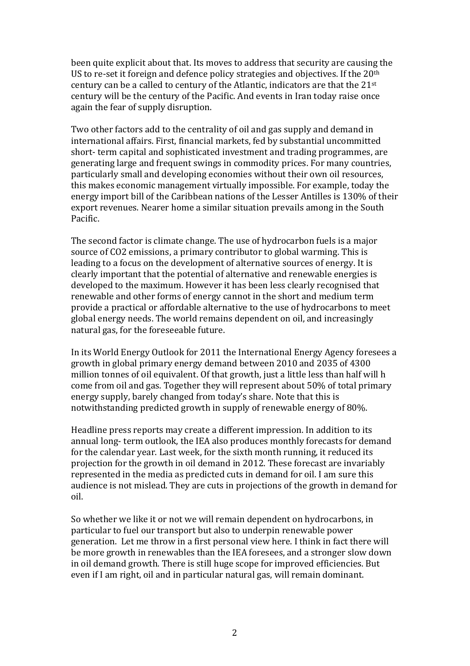been quite explicit about that. Its moves to address that security are causing the US to re-set it foreign and defence policy strategies and objectives. If the 20<sup>th</sup> century can be a called to century of the Atlantic, indicators are that the 21st century will be the century of the Pacific. And events in Iran today raise once again the fear of supply disruption.

Two other factors add to the centrality of oil and gas supply and demand in international affairs. First, financial markets, fed by substantial uncommitted short- term capital and sophisticated investment and trading programmes, are generating large and frequent swings in commodity prices. For many countries, particularly small and developing economies without their own oil resources, this makes economic management virtually impossible. For example, today the energy import bill of the Caribbean nations of the Lesser Antilles is 130% of their export revenues. Nearer home a similar situation prevails among in the South Pacific.

The second factor is climate change. The use of hydrocarbon fuels is a major source of CO2 emissions, a primary contributor to global warming. This is leading to a focus on the development of alternative sources of energy. It is clearly important that the potential of alternative and renewable energies is developed to the maximum. However it has been less clearly recognised that renewable and other forms of energy cannot in the short and medium term provide a practical or affordable alternative to the use of hydrocarbons to meet global energy needs. The world remains dependent on oil, and increasingly natural gas, for the foreseeable future.

In its World Energy Outlook for 2011 the International Energy Agency foresees a growth in global primary energy demand between 2010 and 2035 of 4300 million tonnes of oil equivalent. Of that growth, just a little less than half will h come from oil and gas. Together they will represent about 50% of total primary energy supply, barely changed from today's share. Note that this is notwithstanding predicted growth in supply of renewable energy of 80%.

Headline press reports may create a different impression. In addition to its annual long- term outlook, the IEA also produces monthly forecasts for demand for the calendar year. Last week, for the sixth month running, it reduced its projection for the growth in oil demand in 2012. These forecast are invariably represented in the media as predicted cuts in demand for oil. I am sure this audience is not mislead. They are cuts in projections of the growth in demand for oil.

So whether we like it or not we will remain dependent on hydrocarbons, in particular to fuel our transport but also to underpin renewable power generation. Let me throw in a first personal view here. I think in fact there will be more growth in renewables than the IEA foresees, and a stronger slow down in oil demand growth. There is still huge scope for improved efficiencies. But even if I am right, oil and in particular natural gas, will remain dominant.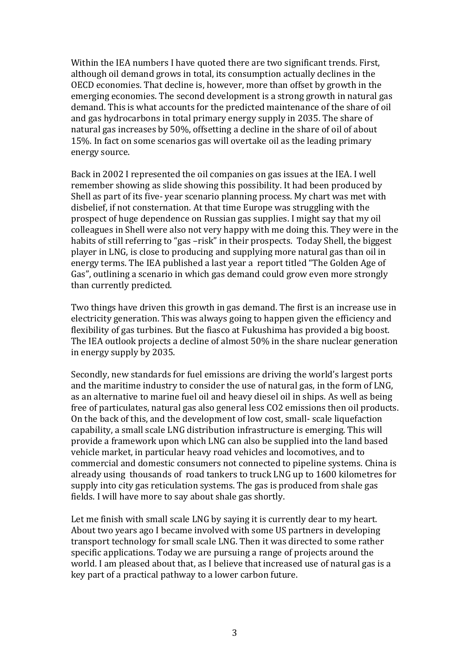Within the IEA numbers I have quoted there are two significant trends. First, although oil demand grows in total, its consumption actually declines in the OECD economies. That decline is, however, more than offset by growth in the emerging economies. The second development is a strong growth in natural gas demand. This is what accounts for the predicted maintenance of the share of oil and gas hydrocarbons in total primary energy supply in 2035. The share of natural gas increases by 50%, offsetting a decline in the share of oil of about 15%. In fact on some scenarios gas will overtake oil as the leading primary energy source.

Back in 2002 I represented the oil companies on gas issues at the IEA. I well remember showing as slide showing this possibility. It had been produced by Shell as part of its five- year scenario planning process. My chart was met with disbelief, if not consternation. At that time Europe was struggling with the prospect of huge dependence on Russian gas supplies. I might say that my oil colleagues in Shell were also not very happy with me doing this. They were in the habits of still referring to "gas –risk" in their prospects. Today Shell, the biggest player in LNG, is close to producing and supplying more natural gas than oil in energy terms. The IEA published a last year a report titled "The Golden Age of Gas", outlining a scenario in which gas demand could grow even more strongly than currently predicted.

Two things have driven this growth in gas demand. The first is an increase use in electricity generation. This was always going to happen given the efficiency and flexibility of gas turbines. But the fiasco at Fukushima has provided a big boost. The IEA outlook projects a decline of almost 50% in the share nuclear generation in energy supply by 2035.

Secondly, new standards for fuel emissions are driving the world's largest ports and the maritime industry to consider the use of natural gas, in the form of LNG, as an alternative to marine fuel oil and heavy diesel oil in ships. As well as being free of particulates, natural gas also general less CO2 emissions then oil products. On the back of this, and the development of low cost, small- scale liquefaction capability, a small scale LNG distribution infrastructure is emerging. This will provide a framework upon which LNG can also be supplied into the land based vehicle market, in particular heavy road vehicles and locomotives, and to commercial and domestic consumers not connected to pipeline systems. China is already using thousands of road tankers to truck LNG up to 1600 kilometres for supply into city gas reticulation systems. The gas is produced from shale gas fields. I will have more to say about shale gas shortly.

Let me finish with small scale LNG by saying it is currently dear to my heart. About two years ago I became involved with some US partners in developing transport technology for small scale LNG. Then it was directed to some rather specific applications. Today we are pursuing a range of projects around the world. I am pleased about that, as I believe that increased use of natural gas is a key part of a practical pathway to a lower carbon future.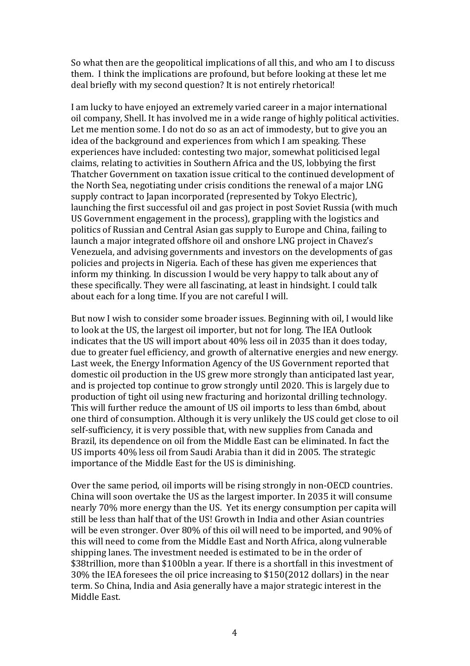So what then are the geopolitical implications of all this, and who am I to discuss them. I think the implications are profound, but before looking at these let me deal briefly with my second question? It is not entirely rhetorical!

I am lucky to have enjoyed an extremely varied career in a major international oil company, Shell. It has involved me in a wide range of highly political activities. Let me mention some. I do not do so as an act of immodesty, but to give you an idea of the background and experiences from which I am speaking. These experiences have included: contesting two major, somewhat politicised legal claims, relating to activities in Southern Africa and the US, lobbying the first Thatcher Government on taxation issue critical to the continued development of the North Sea, negotiating under crisis conditions the renewal of a major LNG supply contract to Japan incorporated (represented by Tokyo Electric), launching the first successful oil and gas project in post Soviet Russia (with much US Government engagement in the process), grappling with the logistics and politics of Russian and Central Asian gas supply to Europe and China, failing to launch a major integrated offshore oil and onshore LNG project in Chavez's Venezuela, and advising governments and investors on the developments of gas policies and projects in Nigeria. Each of these has given me experiences that inform my thinking. In discussion I would be very happy to talk about any of these specifically. They were all fascinating, at least in hindsight. I could talk about each for a long time. If you are not careful I will.

But now I wish to consider some broader issues. Beginning with oil, I would like to look at the US, the largest oil importer, but not for long. The IEA Outlook indicates that the US will import about 40% less oil in 2035 than it does today, due to greater fuel efficiency, and growth of alternative energies and new energy. Last week, the Energy Information Agency of the US Government reported that domestic oil production in the US grew more strongly than anticipated last year, and is projected top continue to grow strongly until 2020. This is largely due to production of tight oil using new fracturing and horizontal drilling technology. This will further reduce the amount of US oil imports to less than 6mbd, about one third of consumption. Although it is very unlikely the US could get close to oil self-sufficiency, it is very possible that, with new supplies from Canada and Brazil, its dependence on oil from the Middle East can be eliminated. In fact the US imports 40% less oil from Saudi Arabia than it did in 2005. The strategic importance of the Middle East for the US is diminishing.

Over the same period, oil imports will be rising strongly in non-OECD countries. China will soon overtake the US as the largest importer. In 2035 it will consume nearly 70% more energy than the US. Yet its energy consumption per capita will still be less than half that of the US! Growth in India and other Asian countries will be even stronger. Over 80% of this oil will need to be imported, and 90% of this will need to come from the Middle East and North Africa, along vulnerable shipping lanes. The investment needed is estimated to be in the order of \$38trillion, more than \$100bln a year. If there is a shortfall in this investment of 30% the IEA foresees the oil price increasing to \$150(2012 dollars) in the near term. So China, India and Asia generally have a major strategic interest in the Middle East.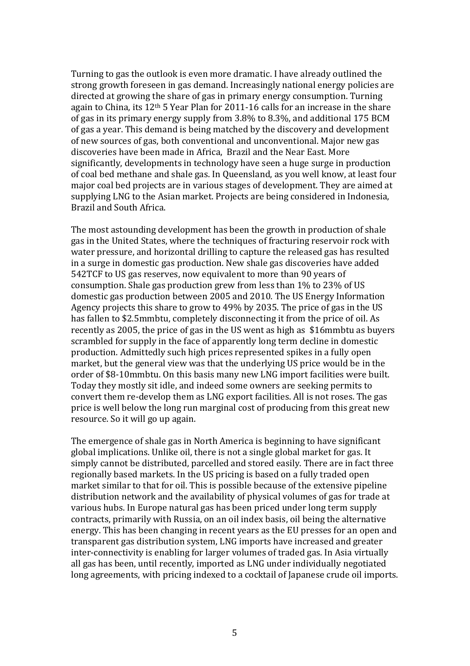Turning to gas the outlook is even more dramatic. I have already outlined the strong growth foreseen in gas demand. Increasingly national energy policies are directed at growing the share of gas in primary energy consumption. Turning again to China, its 12th 5 Year Plan for 2011-16 calls for an increase in the share of gas in its primary energy supply from 3.8% to 8.3%, and additional 175 BCM of gas a year. This demand is being matched by the discovery and development of new sources of gas, both conventional and unconventional. Major new gas discoveries have been made in Africa, Brazil and the Near East. More significantly, developments in technology have seen a huge surge in production of coal bed methane and shale gas. In Queensland, as you well know, at least four major coal bed projects are in various stages of development. They are aimed at supplying LNG to the Asian market. Projects are being considered in Indonesia, Brazil and South Africa.

The most astounding development has been the growth in production of shale gas in the United States, where the techniques of fracturing reservoir rock with water pressure, and horizontal drilling to capture the released gas has resulted in a surge in domestic gas production. New shale gas discoveries have added 542TCF to US gas reserves, now equivalent to more than 90 years of consumption. Shale gas production grew from less than 1% to 23% of US domestic gas production between 2005 and 2010. The US Energy Information Agency projects this share to grow to 49% by 2035. The price of gas in the US has fallen to \$2.5mmbtu, completely disconnecting it from the price of oil. As recently as 2005, the price of gas in the US went as high as \$16mmbtu as buyers scrambled for supply in the face of apparently long term decline in domestic production. Admittedly such high prices represented spikes in a fully open market, but the general view was that the underlying US price would be in the order of \$8-10mmbtu. On this basis many new LNG import facilities were built. Today they mostly sit idle, and indeed some owners are seeking permits to convert them re-develop them as LNG export facilities. All is not roses. The gas price is well below the long run marginal cost of producing from this great new resource. So it will go up again.

The emergence of shale gas in North America is beginning to have significant global implications. Unlike oil, there is not a single global market for gas. It simply cannot be distributed, parcelled and stored easily. There are in fact three regionally based markets. In the US pricing is based on a fully traded open market similar to that for oil. This is possible because of the extensive pipeline distribution network and the availability of physical volumes of gas for trade at various hubs. In Europe natural gas has been priced under long term supply contracts, primarily with Russia, on an oil index basis, oil being the alternative energy. This has been changing in recent years as the EU presses for an open and transparent gas distribution system, LNG imports have increased and greater inter-connectivity is enabling for larger volumes of traded gas. In Asia virtually all gas has been, until recently, imported as LNG under individually negotiated long agreements, with pricing indexed to a cocktail of Japanese crude oil imports.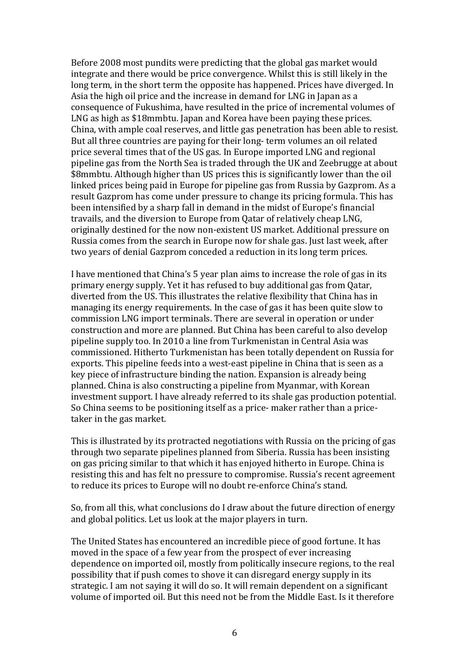Before 2008 most pundits were predicting that the global gas market would integrate and there would be price convergence. Whilst this is still likely in the long term, in the short term the opposite has happened. Prices have diverged. In Asia the high oil price and the increase in demand for LNG in Japan as a consequence of Fukushima, have resulted in the price of incremental volumes of LNG as high as \$18mmbtu. Japan and Korea have been paying these prices. China, with ample coal reserves, and little gas penetration has been able to resist. But all three countries are paying for their long- term volumes an oil related price several times that of the US gas. In Europe imported LNG and regional pipeline gas from the North Sea is traded through the UK and Zeebrugge at about \$8mmbtu. Although higher than US prices this is significantly lower than the oil linked prices being paid in Europe for pipeline gas from Russia by Gazprom. As a result Gazprom has come under pressure to change its pricing formula. This has been intensified by a sharp fall in demand in the midst of Europe's financial travails, and the diversion to Europe from Qatar of relatively cheap LNG, originally destined for the now non-existent US market. Additional pressure on Russia comes from the search in Europe now for shale gas. Just last week, after two years of denial Gazprom conceded a reduction in its long term prices.

I have mentioned that China's 5 year plan aims to increase the role of gas in its primary energy supply. Yet it has refused to buy additional gas from Qatar, diverted from the US. This illustrates the relative flexibility that China has in managing its energy requirements. In the case of gas it has been quite slow to commission LNG import terminals. There are several in operation or under construction and more are planned. But China has been careful to also develop pipeline supply too. In 2010 a line from Turkmenistan in Central Asia was commissioned. Hitherto Turkmenistan has been totally dependent on Russia for exports. This pipeline feeds into a west-east pipeline in China that is seen as a key piece of infrastructure binding the nation. Expansion is already being planned. China is also constructing a pipeline from Myanmar, with Korean investment support. I have already referred to its shale gas production potential. So China seems to be positioning itself as a price- maker rather than a pricetaker in the gas market.

This is illustrated by its protracted negotiations with Russia on the pricing of gas through two separate pipelines planned from Siberia. Russia has been insisting on gas pricing similar to that which it has enjoyed hitherto in Europe. China is resisting this and has felt no pressure to compromise. Russia's recent agreement to reduce its prices to Europe will no doubt re-enforce China's stand.

So, from all this, what conclusions do I draw about the future direction of energy and global politics. Let us look at the major players in turn.

The United States has encountered an incredible piece of good fortune. It has moved in the space of a few year from the prospect of ever increasing dependence on imported oil, mostly from politically insecure regions, to the real possibility that if push comes to shove it can disregard energy supply in its strategic. I am not saying it will do so. It will remain dependent on a significant volume of imported oil. But this need not be from the Middle East. Is it therefore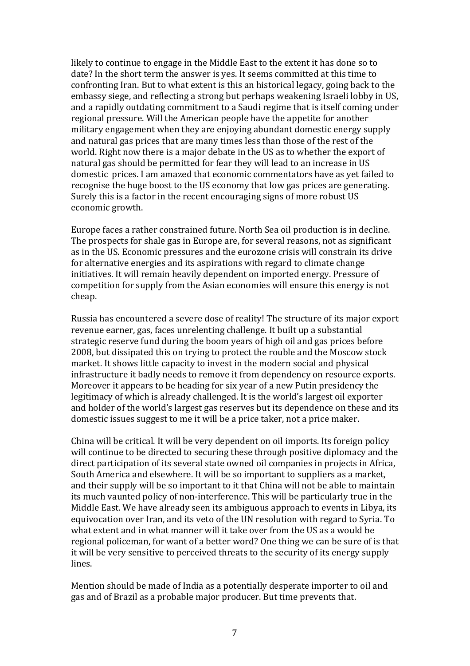likely to continue to engage in the Middle East to the extent it has done so to date? In the short term the answer is yes. It seems committed at this time to confronting Iran. But to what extent is this an historical legacy, going back to the embassy siege, and reflecting a strong but perhaps weakening Israeli lobby in US, and a rapidly outdating commitment to a Saudi regime that is itself coming under regional pressure. Will the American people have the appetite for another military engagement when they are enjoying abundant domestic energy supply and natural gas prices that are many times less than those of the rest of the world. Right now there is a major debate in the US as to whether the export of natural gas should be permitted for fear they will lead to an increase in US domestic prices. I am amazed that economic commentators have as yet failed to recognise the huge boost to the US economy that low gas prices are generating. Surely this is a factor in the recent encouraging signs of more robust US economic growth.

Europe faces a rather constrained future. North Sea oil production is in decline. The prospects for shale gas in Europe are, for several reasons, not as significant as in the US. Economic pressures and the eurozone crisis will constrain its drive for alternative energies and its aspirations with regard to climate change initiatives. It will remain heavily dependent on imported energy. Pressure of competition for supply from the Asian economies will ensure this energy is not cheap.

Russia has encountered a severe dose of reality! The structure of its major export revenue earner, gas, faces unrelenting challenge. It built up a substantial strategic reserve fund during the boom years of high oil and gas prices before 2008, but dissipated this on trying to protect the rouble and the Moscow stock market. It shows little capacity to invest in the modern social and physical infrastructure it badly needs to remove it from dependency on resource exports. Moreover it appears to be heading for six year of a new Putin presidency the legitimacy of which is already challenged. It is the world's largest oil exporter and holder of the world's largest gas reserves but its dependence on these and its domestic issues suggest to me it will be a price taker, not a price maker.

China will be critical. It will be very dependent on oil imports. Its foreign policy will continue to be directed to securing these through positive diplomacy and the direct participation of its several state owned oil companies in projects in Africa, South America and elsewhere. It will be so important to suppliers as a market, and their supply will be so important to it that China will not be able to maintain its much vaunted policy of non-interference. This will be particularly true in the Middle East. We have already seen its ambiguous approach to events in Libya, its equivocation over Iran, and its veto of the UN resolution with regard to Syria. To what extent and in what manner will it take over from the US as a would be regional policeman, for want of a better word? One thing we can be sure of is that it will be very sensitive to perceived threats to the security of its energy supply lines.

Mention should be made of India as a potentially desperate importer to oil and gas and of Brazil as a probable major producer. But time prevents that.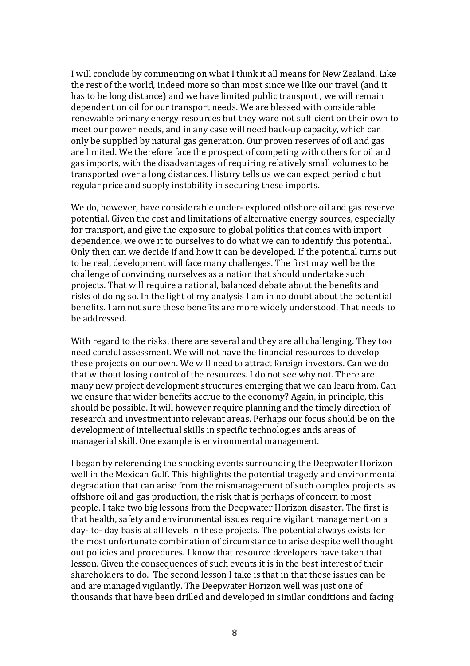I will conclude by commenting on what I think it all means for New Zealand. Like the rest of the world, indeed more so than most since we like our travel (and it has to be long distance) and we have limited public transport , we will remain dependent on oil for our transport needs. We are blessed with considerable renewable primary energy resources but they ware not sufficient on their own to meet our power needs, and in any case will need back-up capacity, which can only be supplied by natural gas generation. Our proven reserves of oil and gas are limited. We therefore face the prospect of competing with others for oil and gas imports, with the disadvantages of requiring relatively small volumes to be transported over a long distances. History tells us we can expect periodic but regular price and supply instability in securing these imports.

We do, however, have considerable under- explored offshore oil and gas reserve potential. Given the cost and limitations of alternative energy sources, especially for transport, and give the exposure to global politics that comes with import dependence, we owe it to ourselves to do what we can to identify this potential. Only then can we decide if and how it can be developed. If the potential turns out to be real, development will face many challenges. The first may well be the challenge of convincing ourselves as a nation that should undertake such projects. That will require a rational, balanced debate about the benefits and risks of doing so. In the light of my analysis I am in no doubt about the potential benefits. I am not sure these benefits are more widely understood. That needs to be addressed.

With regard to the risks, there are several and they are all challenging. They too need careful assessment. We will not have the financial resources to develop these projects on our own. We will need to attract foreign investors. Can we do that without losing control of the resources. I do not see why not. There are many new project development structures emerging that we can learn from. Can we ensure that wider benefits accrue to the economy? Again, in principle, this should be possible. It will however require planning and the timely direction of research and investment into relevant areas. Perhaps our focus should be on the development of intellectual skills in specific technologies ands areas of managerial skill. One example is environmental management.

I began by referencing the shocking events surrounding the Deepwater Horizon well in the Mexican Gulf. This highlights the potential tragedy and environmental degradation that can arise from the mismanagement of such complex projects as offshore oil and gas production, the risk that is perhaps of concern to most people. I take two big lessons from the Deepwater Horizon disaster. The first is that health, safety and environmental issues require vigilant management on a day- to- day basis at all levels in these projects. The potential always exists for the most unfortunate combination of circumstance to arise despite well thought out policies and procedures. I know that resource developers have taken that lesson. Given the consequences of such events it is in the best interest of their shareholders to do. The second lesson I take is that in that these issues can be and are managed vigilantly. The Deepwater Horizon well was just one of thousands that have been drilled and developed in similar conditions and facing